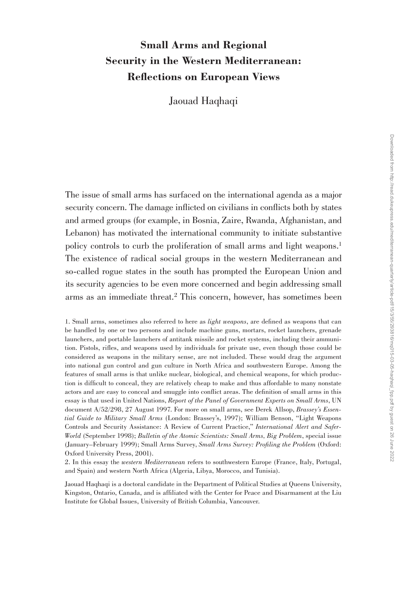# **Small Arms and Regional Security in the Western Mediterranean: Refl ections on European Views**

Jaouad Haqhaqi

The issue of small arms has surfaced on the international agenda as a major security concern. The damage inflicted on civilians in conflicts both by states and armed groups (for example, in Bosnia, Zaire, Rwanda, Afghanistan, and Lebanon) has motivated the international community to initiate substantive policy controls to curb the proliferation of small arms and light weapons.<sup>1</sup> The existence of radical social groups in the western Mediterranean and so-called rogue states in the south has prompted the European Union and its security agencies to be even more concerned and begin addressing small arms as an immediate threat.2 This concern, however, has sometimes been

1. Small arms, sometimes also referred to here as *light weapons*, are defined as weapons that can be handled by one or two persons and include machine guns, mortars, rocket launchers, grenade launchers, and portable launchers of antitank missile and rocket systems, including their ammunition. Pistols, rifles, and weapons used by individuals for private use, even though those could be considered as weapons in the military sense, are not included. These would drag the argument into national gun control and gun culture in North Africa and southwestern Europe. Among the features of small arms is that unlike nuclear, biological, and chemical weapons, for which production is difficult to conceal, they are relatively cheap to make and thus affordable to many nonstate actors and are easy to conceal and smuggle into conflict areas. The definition of small arms in this essay is that used in United Nations, *Report of the Panel of Government Experts on Small Arms*, UN document A/52/298, 27 August 1997. For more on small arms, see Derek Allsop, *Brassey's Essential Guide to Military Small Arms* (London: Brassey's, 1997); William Benson, "Light Weapons Controls and Security Assistance: A Review of Current Practice," *International Alert and Safer-World* (September 1998); *Bulletin of the Atomic Scientists: Small Arms, Big Problem*, special issue (January–February 1999); Small Arms Survey, *Small Arms Survey: Profi ling the Problem* (Oxford: Oxford University Press, 2001).

2. In this essay the *western Mediterranean* refers to southwestern Europe (France, Italy, Portugal, and Spain) and western North Africa (Algeria, Libya, Morocco, and Tunisia).

Jaouad Haqhaqi is a doctoral candidate in the Department of Political Studies at Queens University, Kingston, Ontario, Canada, and is affiliated with the Center for Peace and Disarmament at the Liu Institute for Global Issues, University of British Columbia, Vancouver.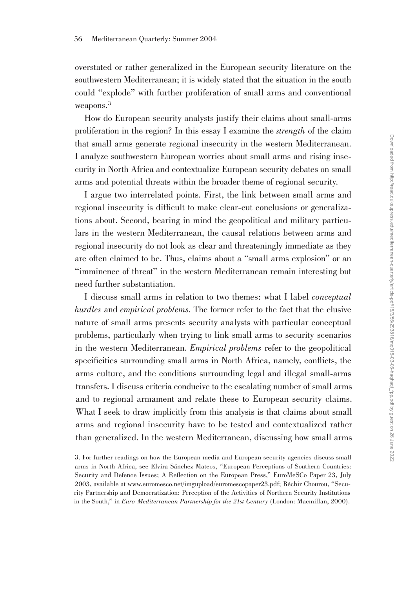overstated or rather generalized in the European security literature on the southwestern Mediterranean; it is widely stated that the situation in the south could "explode" with further proliferation of small arms and conventional weapons.<sup>3</sup>

How do European security analysts justify their claims about small-arms proliferation in the region? In this essay I examine the *strength* of the claim that small arms generate regional insecurity in the western Mediterranean. I analyze southwestern European worries about small arms and rising insecurity in North Africa and contextualize European security debates on small arms and potential threats within the broader theme of regional security.

I argue two interrelated points. First, the link between small arms and regional insecurity is difficult to make clear-cut conclusions or generalizations about. Second, bearing in mind the geopolitical and military particulars in the western Mediterranean, the causal relations between arms and regional insecurity do not look as clear and threateningly immediate as they are often claimed to be. Thus, claims about a "small arms explosion" or an "imminence of threat" in the western Mediterranean remain interesting but need further substantiation.

I discuss small arms in relation to two themes: what I label *conceptual hurdles* and *empirical problems*. The former refer to the fact that the elusive nature of small arms presents security analysts with particular conceptual problems, particularly when trying to link small arms to security scenarios in the western Mediterranean. *Empirical problems* refer to the geopolitical specificities surrounding small arms in North Africa, namely, conflicts, the arms culture, and the conditions surrounding legal and illegal small-arms transfers. I discuss criteria conducive to the escalating number of small arms and to regional armament and relate these to European security claims. What I seek to draw implicitly from this analysis is that claims about small arms and regional insecurity have to be tested and contextualized rather than generalized. In the western Mediterranean, discussing how small arms

<sup>3.</sup> For further readings on how the European media and European security agencies discuss small arms in North Africa, see Elvira Sánchez Mateos, "European Perceptions of Southern Countries: Security and Defence Issues; A Reflection on the European Press," EuroMeSCo Paper 23, July 2003, available at www.euromesco.net/imgupload/euromescopaper23.pdf; Béchir Chourou, "Security Partnership and Democratization: Perception of the Activities of Northern Security Institutions in the South," in *Euro-Mediterranean Partnership for the 21st Century* (London: Macmillan, 2000).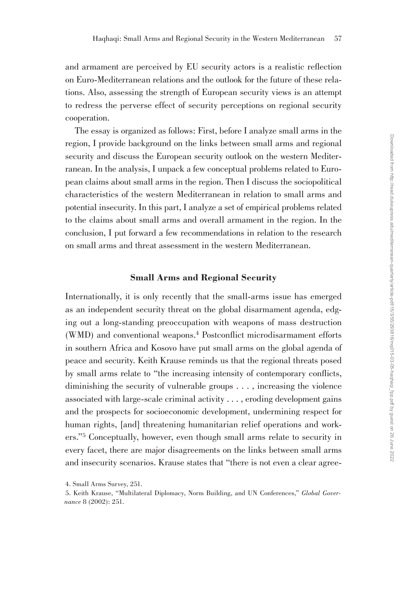and armament are perceived by EU security actors is a realistic reflection on Euro-Mediterranean relations and the outlook for the future of these relations. Also, assessing the strength of European security views is an attempt to redress the perverse effect of security perceptions on regional security cooperation.

The essay is organized as follows: First, before I analyze small arms in the region, I provide background on the links between small arms and regional security and discuss the European security outlook on the western Mediterranean. In the analysis, I unpack a few conceptual problems related to European claims about small arms in the region. Then I discuss the sociopolitical characteristics of the western Mediterranean in relation to small arms and potential insecurity. In this part, I analyze a set of empirical problems related to the claims about small arms and overall armament in the region. In the conclusion, I put forward a few recommendations in relation to the research on small arms and threat assessment in the western Mediterranean.

### **Small Arms and Regional Security**

Internationally, it is only recently that the small-arms issue has emerged as an independent security threat on the global disarmament agenda, edging out a long-standing preoccupation with weapons of mass destruction (WMD) and conventional weapons.<sup>4</sup> Postconflict microdisarmament efforts in southern Africa and Kosovo have put small arms on the global agenda of peace and security. Keith Krause reminds us that the regional threats posed by small arms relate to "the increasing intensity of contemporary conflicts, diminishing the security of vulnerable groups . . . , increasing the violence associated with large-scale criminal activity . . . , eroding development gains and the prospects for socioeconomic development, undermining respect for human rights, [and] threatening humanitarian relief operations and workers."5 Conceptually, however, even though small arms relate to security in every facet, there are major disagreements on the links between small arms and insecurity scenarios. Krause states that "there is not even a clear agree-

<sup>4.</sup> Small Arms Survey, 251.

<sup>5.</sup> Keith Krause, "Multilateral Diplomacy, Norm Building, and UN Conferences," *Global Governance* 8 (2002): 251.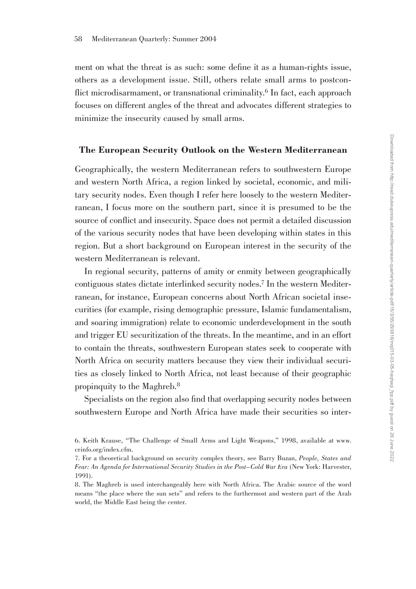ment on what the threat is as such: some define it as a human-rights issue, others as a development issue. Still, others relate small arms to postconflict microdisarmament, or transnational criminality.<sup>6</sup> In fact, each approach focuses on different angles of the threat and advocates different strategies to minimize the insecurity caused by small arms.

# **The European Security Outlook on the Western Mediterranean**

Geographically, the western Mediterranean refers to southwestern Europe and western North Africa, a region linked by societal, economic, and military security nodes. Even though I refer here loosely to the western Mediterranean, I focus more on the southern part, since it is presumed to be the source of conflict and insecurity. Space does not permit a detailed discussion of the various security nodes that have been developing within states in this region. But a short background on European interest in the security of the western Mediterranean is relevant.

In regional security, patterns of amity or enmity between geographically contiguous states dictate interlinked security nodes. 7 In the western Mediterranean, for instance, European concerns about North African societal insecurities (for example, rising demographic pressure, Islamic fundamentalism, and soaring immigration) relate to economic underdevelopment in the south and trigger EU securitization of the threats. In the meantime, and in an effort to contain the threats, southwestern European states seek to cooperate with North Africa on security matters because they view their individual securities as closely linked to North Africa, not least because of their geographic propinquity to the Maghreb. 8

Specialists on the region also find that overlapping security nodes between southwestern Europe and North Africa have made their securities so inter-

<sup>6.</sup> Keith Krause, "The Challenge of Small Arms and Light Weapons," 1998, available at www. crinfo.org/index.cfm.

<sup>7.</sup> For a theoretical background on security complex theory, see Barry Buzan, *People, States and Fear: An Agenda for International Security Studies in the Post–Cold War Era* (New York: Harvester, 1991).

<sup>8.</sup> The Maghreb is used interchangeably here with North Africa. The Arabic source of the word means "the place where the sun sets" and refers to the furthermost and western part of the Arab world, the Middle East being the center.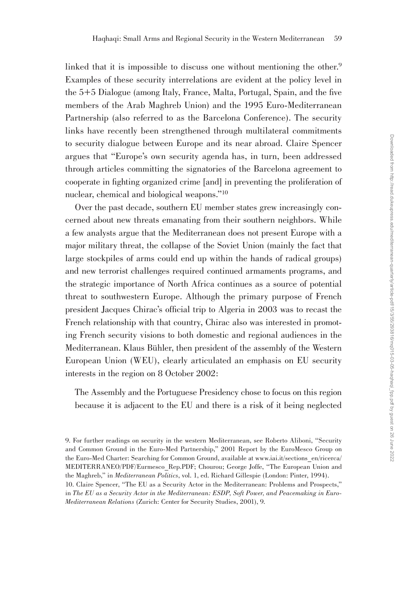linked that it is impossible to discuss one without mentioning the other.<sup>9</sup> Examples of these security interrelations are evident at the policy level in the 5+5 Dialogue (among Italy, France, Malta, Portugal, Spain, and the five members of the Arab Maghreb Union) and the 1995 Euro-Mediterranean Partnership (also referred to as the Barcelona Conference). The security links have recently been strengthened through multilateral commitments to security dialogue between Europe and its near abroad. Claire Spencer argues that "Europe's own security agenda has, in turn, been addressed through articles committing the signatories of the Barcelona agreement to cooperate in fighting organized crime [and] in preventing the proliferation of nuclear, chemical and biological weapons."10

Over the past decade, southern EU member states grew increasingly concerned about new threats emanating from their southern neighbors. While a few analysts argue that the Mediterranean does not present Europe with a major military threat, the collapse of the Soviet Union (mainly the fact that large stockpiles of arms could end up within the hands of radical groups) and new terrorist challenges required continued armaments programs, and the strategic importance of North Africa continues as a source of potential threat to southwestern Europe. Although the primary purpose of French president Jacques Chirac's official trip to Algeria in 2003 was to recast the French relationship with that country, Chirac also was interested in promoting French security visions to both domestic and regional audiences in the Mediterranean. Klaus Bühler, then president of the assembly of the Western European Union (WEU), clearly articulated an emphasis on EU security interests in the region on 8 October 2002:

The Assembly and the Portuguese Presidency chose to focus on this region because it is adjacent to the EU and there is a risk of it being neglected

<sup>9.</sup> For further readings on security in the western Mediterranean, see Roberto Aliboni, "Security and Common Ground in the Euro-Med Partnership," 2001 Report by the EuroMesco Group on the Euro-Med Charter: Searching for Common Ground, available at www.iai.it/sections\_en/ricerca/ MEDITERRANEO/PDF/Eurmesco\_Rep.PDF; Chourou; George Joffe, "The European Union and the Maghreb," in *Mediterranean Politics*, vol. 1, ed. Richard Gillespie (London: Pinter, 1994).

<sup>10.</sup> Claire Spencer, "The EU as a Security Actor in the Mediterranean: Problems and Prospects," in *The EU as a Security Actor in the Mediterranean: ESDP, Soft Power, and Peacemaking in Euro-Mediterranean Relations* (Zurich: Center for Security Studies, 2001), 9.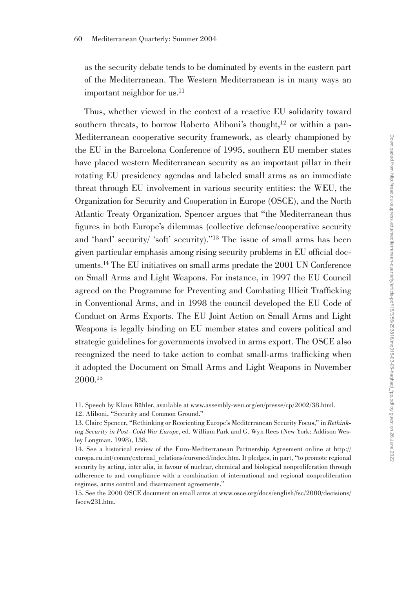as the security debate tends to be dominated by events in the eastern part of the Mediterranean. The Western Mediterranean is in many ways an important neighbor for us.<sup>11</sup>

Thus, whether viewed in the context of a reactive EU solidarity toward southern threats, to borrow Roberto Aliboni's thought, $^{12}$  or within a pan-Mediterranean cooperative security framework, as clearly championed by the EU in the Barcelona Conference of 1995, southern EU member states have placed western Mediterranean security as an important pillar in their rotating EU presidency agendas and labeled small arms as an immediate threat through EU involvement in various security entities: the WEU, the Organization for Security and Cooperation in Europe (OSCE), and the North Atlantic Treaty Organization. Spencer argues that "the Mediterranean thus figures in both Europe's dilemmas (collective defense/cooperative security and 'hard' security/ 'soft' security)."13 The issue of small arms has been given particular emphasis among rising security problems in EU official documents.14 The EU initiatives on small arms predate the 2001 UN Conference on Small Arms and Light Weapons. For instance, in 1997 the EU Council agreed on the Programme for Preventing and Combating Illicit Trafficking in Conventional Arms, and in 1998 the council developed the EU Code of Conduct on Arms Exports. The EU Joint Action on Small Arms and Light Weapons is legally binding on EU member states and covers political and strategic guidelines for governments involved in arms export. The OSCE also recognized the need to take action to combat small-arms trafficking when it adopted the Document on Small Arms and Light Weapons in November 2000. 15

11. Speech by Klaus Bühler, available at www.assembly-weu.org/en/presse/cp/2002/38.html.

12. Aliboni, "Security and Common Ground."

15. See the 2000 OSCE document on small arms at www.osce.org/docs/english/fsc/2000/decisions/ fscew231.htm.

<sup>13.</sup> Claire Spencer, "Rethinking or Reorienting Europe's Mediterranean Security Focus," in *Rethinking Security in Post–Cold War Europe*, ed. William Park and G. Wyn Rees (New York: Addison Wesley Longman, 1998), 138.

<sup>14.</sup> See a historical review of the Euro-Mediterranean Partnership Agreement online at http:// europa.eu.int/comm/external\_relations/euromed/index.htm. It pledges, in part, "to promote regional security by acting, inter alia, in favour of nuclear, chemical and biological nonproliferation through adherence to and compliance with a combination of international and regional nonproliferation regimes, arms control and disarmament agreements."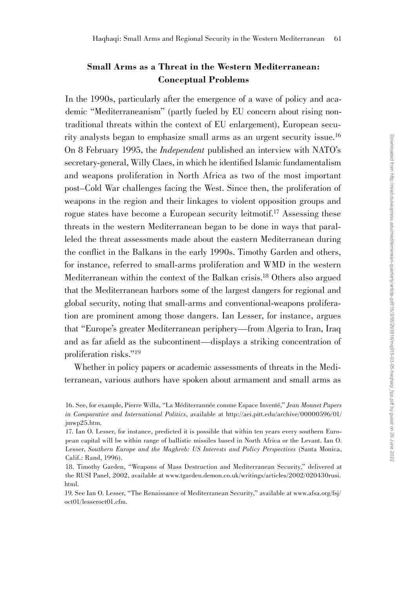# **Small Arms as a Threat in the Western Mediterranean: Conceptual Problems**

In the 1990s, particularly after the emergence of a wave of policy and academic "Mediterraneanism" (partly fueled by EU concern about rising nontraditional threats within the context of EU enlargement), European security analysts began to emphasize small arms as an urgent security issue. 16 On 8 February 1995, the *Independent* published an interview with NATO's secretary-general, Willy Claes, in which he identified Islamic fundamentalism and weapons proliferation in North Africa as two of the most important post–Cold War challenges facing the West. Since then, the proliferation of weapons in the region and their linkages to violent opposition groups and rogue states have become a European security leitmotif. <sup>17</sup> Assessing these threats in the western Mediterranean began to be done in ways that paralleled the threat assessments made about the eastern Mediterranean during the conflict in the Balkans in the early 1990s. Timothy Garden and others, for instance, referred to small-arms proliferation and WMD in the western Mediterranean within the context of the Balkan crisis.18 Others also argued that the Mediterranean harbors some of the largest dangers for regional and global security, noting that small-arms and conventional-weapons proliferation are prominent among those dangers. Ian Lesser, for instance, argues that "Europe's greater Mediterranean periphery—from Algeria to Iran, Iraq and as far afield as the subcontinent—displays a striking concentration of proliferation risks."19

Whether in policy papers or academic assessments of threats in the Mediterranean, various authors have spoken about armament and small arms as

<sup>16.</sup> See, for example, Pierre Willa, "La Méditerrannée comme Espace Inventé," *Jean Monnet Papers in Comparative and International Politics*, available at http://aei.pitt.edu/archive/00000596/01/ jmwp25.htm.

<sup>17.</sup> Ian O. Lesser, for instance, predicted it is possible that within ten years every southern European capital will be within range of ballistic missiles based in North Africa or the Levant. Ian O. Lesser, *Southern Europe and the Maghreb: US Interests and Policy Perspectives* (Santa Monica, Calif.: Rand, 1996).

<sup>18.</sup> Timothy Garden, "Weapons of Mass Destruction and Mediterranean Security," delivered at the RUSI Panel, 2002, available at www.tgarden.demon.co.uk/writings/articles/2002/020430rusi. html.

<sup>19.</sup> See Ian O. Lesser, "The Renaissance of Mediterranean Security," available at www.afsa.org/fsj/ oct01/lesseroct01.cfm.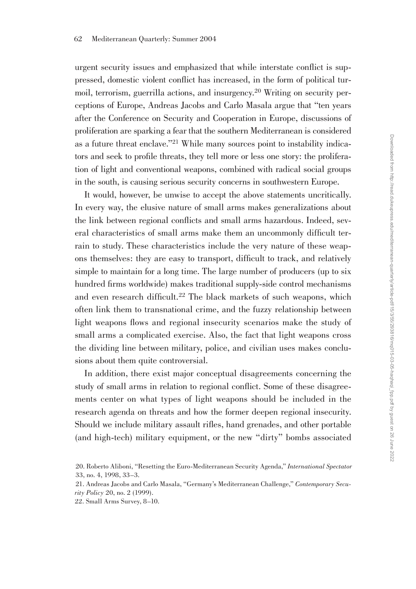urgent security issues and emphasized that while interstate conflict is suppressed, domestic violent conflict has increased, in the form of political turmoil, terrorism, guerrilla actions, and insurgency. 20 Writing on security perceptions of Europe, Andreas Jacobs and Carlo Masala argue that "ten years after the Conference on Security and Cooperation in Europe, discussions of proliferation are sparking a fear that the southern Mediterranean is considered as a future threat enclave."21 While many sources point to instability indicators and seek to profile threats, they tell more or less one story: the proliferation of light and conventional weapons, combined with radical social groups in the south, is causing serious security concerns in southwestern Europe.

It would, however, be unwise to accept the above statements uncritically. In every way, the elusive nature of small arms makes generalizations about the link between regional conflicts and small arms hazardous. Indeed, several characteristics of small arms make them an uncommonly difficult terrain to study. These characteristics include the very nature of these weapons themselves: they are easy to transport, difficult to track, and relatively simple to maintain for a long time. The large number of producers (up to six hundred firms worldwide) makes traditional supply-side control mechanisms and even research difficult.<sup>22</sup> The black markets of such weapons, which often link them to transnational crime, and the fuzzy relationship between light weapons flows and regional insecurity scenarios make the study of small arms a complicated exercise. Also, the fact that light weapons cross the dividing line between military, police, and civilian uses makes conclusions about them quite controversial.

In addition, there exist major conceptual disagreements concerning the study of small arms in relation to regional conflict. Some of these disagreements center on what types of light weapons should be included in the research agenda on threats and how the former deepen regional insecurity. Should we include military assault rifles, hand grenades, and other portable (and high-tech) military equipment, or the new "dirty" bombs associated

<sup>20.</sup> Roberto Aliboni, "Resetting the Euro-Mediterranean Security Agenda," *International Spectator* 33, no. 4, 1998, 33–3.

<sup>21.</sup> Andreas Jacobs and Carlo Masala, "Germany's Mediterranean Challenge," *Contemporary Secu-*

*rity Policy* 20, no. 2 (1999).

<sup>22.</sup> Small Arms Survey, 8–10.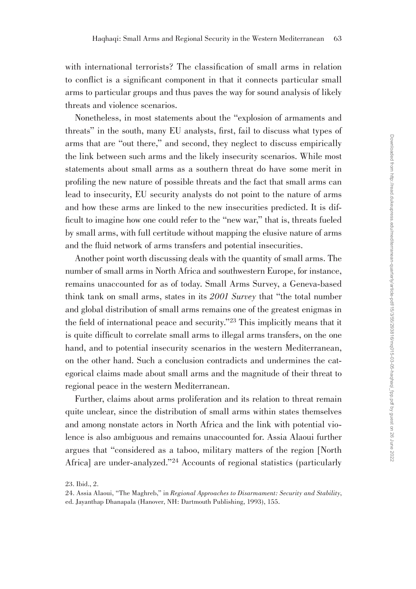with international terrorists? The classification of small arms in relation to conflict is a significant component in that it connects particular small arms to particular groups and thus paves the way for sound analysis of likely threats and violence scenarios.

Nonetheless, in most statements about the "explosion of armaments and threats" in the south, many EU analysts, first, fail to discuss what types of arms that are "out there," and second, they neglect to discuss empirically the link between such arms and the likely insecurity scenarios. While most statements about small arms as a southern threat do have some merit in profiling the new nature of possible threats and the fact that small arms can lead to insecurity, EU security analysts do not point to the nature of arms and how these arms are linked to the new insecurities predicted. It is difficult to imagine how one could refer to the "new war," that is, threats fueled by small arms, with full certitude without mapping the elusive nature of arms and the fluid network of arms transfers and potential insecurities.

Another point worth discussing deals with the quantity of small arms. The number of small arms in North Africa and southwestern Europe, for instance, remains unaccounted for as of today. Small Arms Survey, a Geneva-based think tank on small arms, states in its *2001 Survey* that "the total number and global distribution of small arms remains one of the greatest enigmas in the field of international peace and security."<sup>23</sup> This implicitly means that it is quite difficult to correlate small arms to illegal arms transfers, on the one hand, and to potential insecurity scenarios in the western Mediterranean, on the other hand. Such a conclusion contradicts and undermines the categorical claims made about small arms and the magnitude of their threat to regional peace in the western Mediterranean.

Further, claims about arms proliferation and its relation to threat remain quite unclear, since the distribution of small arms within states themselves and among nonstate actors in North Africa and the link with potential violence is also ambiguous and remains unaccounted for. Assia Alaoui further argues that "considered as a taboo, military matters of the region [North Africa] are under-analyzed."24 Accounts of regional statistics (particularly

23. Ibid., 2.

24. Assia Alaoui, "The Maghreb," in *Regional Approaches to Disarmament: Security and Stability*,

ed. Jayanthap Dhanapala (Hanover, NH: Dartmouth Publishing, 1993), 155.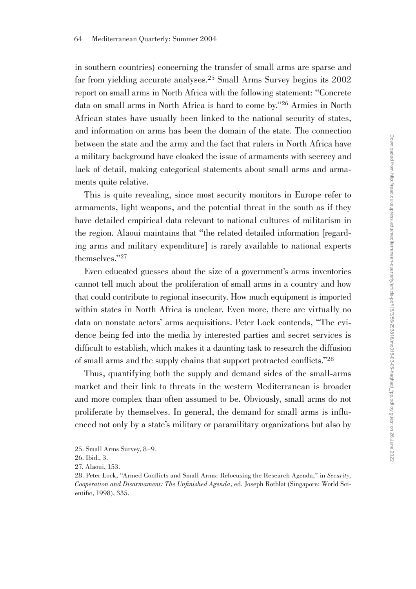in southern countries) concerning the transfer of small arms are sparse and far from yielding accurate analyses. <sup>25</sup> Small Arms Survey begins its 2002 report on small arms in North Africa with the following statement: "Concrete data on small arms in North Africa is hard to come by."26 Armies in North African states have usually been linked to the national security of states, and information on arms has been the domain of the state. The connection between the state and the army and the fact that rulers in North Africa have a military background have cloaked the issue of armaments with secrecy and lack of detail, making categorical statements about small arms and armaments quite relative.

This is quite revealing, since most security monitors in Europe refer to armaments, light weapons, and the potential threat in the south as if they have detailed empirical data relevant to national cultures of militarism in the region. Alaoui maintains that "the related detailed information [regarding arms and military expenditure] is rarely available to national experts themselves."27

Even educated guesses about the size of a government's arms inventories cannot tell much about the proliferation of small arms in a country and how that could contribute to regional insecurity. How much equipment is imported within states in North Africa is unclear. Even more, there are virtually no data on nonstate actors' arms acquisitions. Peter Lock contends, "The evidence being fed into the media by interested parties and secret services is difficult to establish, which makes it a daunting task to research the diffusion of small arms and the supply chains that support protracted conflicts."<sup>28</sup>

Thus, quantifying both the supply and demand sides of the small-arms market and their link to threats in the western Mediterranean is broader and more complex than often assumed to be. Obviously, small arms do not proliferate by themselves. In general, the demand for small arms is influenced not only by a state's military or paramilitary organizations but also by

<sup>25.</sup> Small Arms Survey, 8–9.

<sup>26.</sup> Ibid., 3.

<sup>27.</sup> Alaoui, 153.

<sup>28.</sup> Peter Lock, "Armed Conflicts and Small Arms: Refocusing the Research Agenda," in *Security*, *Cooperation and Disarmament: The Unfinished Agenda*, ed. Joseph Rotblat (Singapore: World Scientific, 1998), 335.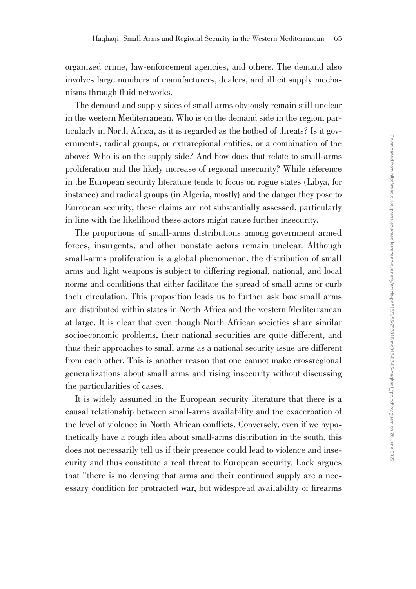organized crime, law-enforcement agencies, and others. The demand also involves large numbers of manufacturers, dealers, and illicit supply mechanisms through fluid networks.

The demand and supply sides of small arms obviously remain still unclear in the western Mediterranean. Who is on the demand side in the region, particularly in North Africa, as it is regarded as the hotbed of threats? Is it governments, radical groups, or extraregional entities, or a combination of the above? Who is on the supply side? And how does that relate to small-arms proliferation and the likely increase of regional insecurity? While reference in the European security literature tends to focus on rogue states (Libya, for instance) and radical groups (in Algeria, mostly) and the danger they pose to European security, these claims are not substantially assessed, particularly in line with the likelihood these actors might cause further insecurity.

The proportions of small-arms distributions among government armed forces, insurgents, and other nonstate actors remain unclear. Although small-arms proliferation is a global phenomenon, the distribution of small arms and light weapons is subject to differing regional, national, and local norms and conditions that either facilitate the spread of small arms or curb their circulation. This proposition leads us to further ask how small arms are distributed within states in North Africa and the western Mediterranean at large. It is clear that even though North African societies share similar socioeconomic problems, their national securities are quite different, and thus their approaches to small arms as a national security issue are different from each other. This is another reason that one cannot make crossregional generalizations about small arms and rising insecurity without discussing the particularities of cases.

It is widely assumed in the European security literature that there is a causal relationship between small-arms availability and the exacerbation of the level of violence in North African conflicts. Conversely, even if we hypothetically have a rough idea about small-arms distribution in the south, this does not necessarily tell us if their presence could lead to violence and insecurity and thus constitute a real threat to European security. Lock argues that "there is no denying that arms and their continued supply are a necessary condition for protracted war, but widespread availability of firearms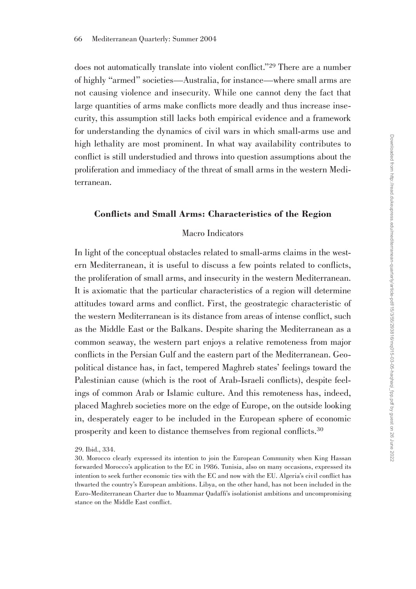does not automatically translate into violent conflict."<sup>29</sup> There are a number of highly "armed" societies—Australia, for instance—where small arms are not causing violence and insecurity. While one cannot deny the fact that large quantities of arms make conflicts more deadly and thus increase insecurity, this assumption still lacks both empirical evidence and a framework for understanding the dynamics of civil wars in which small-arms use and high lethality are most prominent. In what way availability contributes to conflict is still understudied and throws into question assumptions about the proliferation and immediacy of the threat of small arms in the western Mediterranean.

#### **Confl icts and Small Arms: Characteristics of the Region**

# Macro Indicators

In light of the conceptual obstacles related to small-arms claims in the western Mediterranean, it is useful to discuss a few points related to conflicts, the proliferation of small arms, and insecurity in the western Mediterranean. It is axiomatic that the particular characteristics of a region will determine attitudes toward arms and conflict. First, the geostrategic characteristic of the western Mediterranean is its distance from areas of intense conflict, such as the Middle East or the Balkans. Despite sharing the Mediterranean as a common seaway, the western part enjoys a relative remoteness from major conflicts in the Persian Gulf and the eastern part of the Mediterranean. Geopolitical distance has, in fact, tempered Maghreb states' feelings toward the Palestinian cause (which is the root of Arab-Israeli conflicts), despite feelings of common Arab or Islamic culture. And this remoteness has, indeed, placed Maghreb societies more on the edge of Europe, on the outside looking in, desperately eager to be included in the European sphere of economic prosperity and keen to distance themselves from regional conflicts.<sup>30</sup>

<sup>29.</sup> Ibid., 334.

<sup>30.</sup> Morocco clearly expressed its intention to join the European Community when King Hassan forwarded Morocco's application to the EC in 1986. Tunisia, also on many occasions, expressed its intention to seek further economic ties with the EC and now with the EU. Algeria's civil conflict has thwarted the country's European ambitions. Libya, on the other hand, has not been included in the Euro-Mediterranean Charter due to Muammar Qadaffi's isolationist ambitions and uncompromising stance on the Middle East conflict.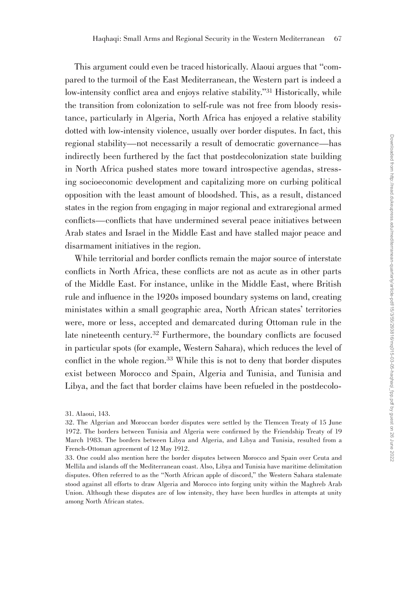This argument could even be traced historically. Alaoui argues that "compared to the turmoil of the East Mediterranean, the Western part is indeed a low-intensity conflict area and enjoys relative stability."<sup>31</sup> Historically, while the transition from colonization to self-rule was not free from bloody resistance, particularly in Algeria, North Africa has enjoyed a relative stability dotted with low-intensity violence, usually over border disputes. In fact, this regional stability—not necessarily a result of democratic governance—has indirectly been furthered by the fact that postdecolonization state building in North Africa pushed states more toward introspective agendas, stressing socioeconomic development and capitalizing more on curbing political opposition with the least amount of bloodshed. This, as a result, distanced states in the region from engaging in major regional and extraregional armed conflicts—conflicts that have undermined several peace initiatives between Arab states and Israel in the Middle East and have stalled major peace and disarmament initiatives in the region.

While territorial and border conflicts remain the major source of interstate conflicts in North Africa, these conflicts are not as acute as in other parts of the Middle East. For instance, unlike in the Middle East, where British rule and influence in the 1920s imposed boundary systems on land, creating ministates within a small geographic area, North African states' territories were, more or less, accepted and demarcated during Ottoman rule in the late nineteenth century.<sup>32</sup> Furthermore, the boundary conflicts are focused in particular spots (for example, Western Sahara), which reduces the level of conflict in the whole region. $33$  While this is not to deny that border disputes exist between Morocco and Spain, Algeria and Tunisia, and Tunisia and Libya, and the fact that border claims have been refueled in the postdecolo-

<sup>31.</sup> Alaoui, 143.

<sup>32.</sup> The Algerian and Moroccan border disputes were settled by the Tlemcen Treaty of 15 June 1972. The borders between Tunisia and Algeria were confirmed by the Friendship Treaty of 19 March 1983. The borders between Libya and Algeria, and Libya and Tunisia, resulted from a French-Ottoman agreement of 12 May 1912.

<sup>33.</sup> One could also mention here the border disputes between Morocco and Spain over Ceuta and Mellila and islands off the Mediterranean coast. Also, Libya and Tunisia have maritime delimitation disputes. Often referred to as the "North African apple of discord," the Western Sahara stalemate stood against all efforts to draw Algeria and Morocco into forging unity within the Maghreb Arab Union. Although these disputes are of low intensity, they have been hurdles in attempts at unity among North African states.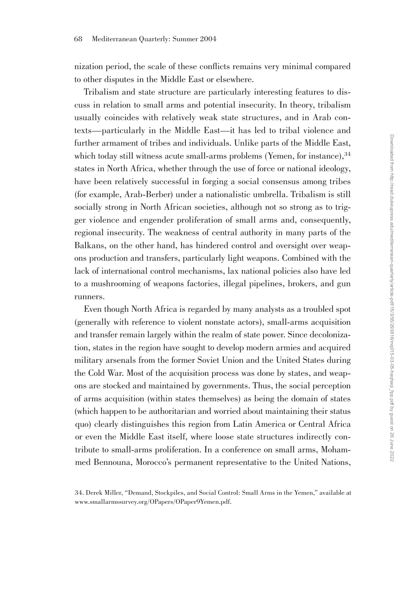nization period, the scale of these conflicts remains very minimal compared to other disputes in the Middle East or elsewhere.

Tribalism and state structure are particularly interesting features to discuss in relation to small arms and potential insecurity. In theory, tribalism usually coincides with relatively weak state structures, and in Arab contexts—particularly in the Middle East—it has led to tribal violence and further armament of tribes and individuals. Unlike parts of the Middle East, which today still witness acute small-arms problems (Yemen, for instance),  $34$ states in North Africa, whether through the use of force or national ideology, have been relatively successful in forging a social consensus among tribes (for example, Arab-Berber) under a nationalistic umbrella. Tribalism is still socially strong in North African societies, although not so strong as to trigger violence and engender proliferation of small arms and, consequently, regional insecurity. The weakness of central authority in many parts of the Balkans, on the other hand, has hindered control and oversight over weapons production and transfers, particularly light weapons. Combined with the lack of international control mechanisms, lax national policies also have led to a mushrooming of weapons factories, illegal pipelines, brokers, and gun runners.

Even though North Africa is regarded by many analysts as a troubled spot (generally with reference to violent nonstate actors), small-arms acquisition and transfer remain largely within the realm of state power. Since decolonization, states in the region have sought to develop modern armies and acquired military arsenals from the former Soviet Union and the United States during the Cold War. Most of the acquisition process was done by states, and weapons are stocked and maintained by governments. Thus, the social perception of arms acquisition (within states themselves) as being the domain of states (which happen to be authoritarian and worried about maintaining their status quo) clearly distinguishes this region from Latin America or Central Africa or even the Middle East itself, where loose state structures indirectly contribute to small-arms proliferation. In a conference on small arms, Mohammed Bennouna, Morocco's permanent representative to the United Nations,

<sup>34.</sup> Derek Miller, "Demand, Stockpiles, and Social Control: Small Arms in the Yemen," available at www.smallarmssurvey.org/OPapers/OPaper9Yemen.pdf.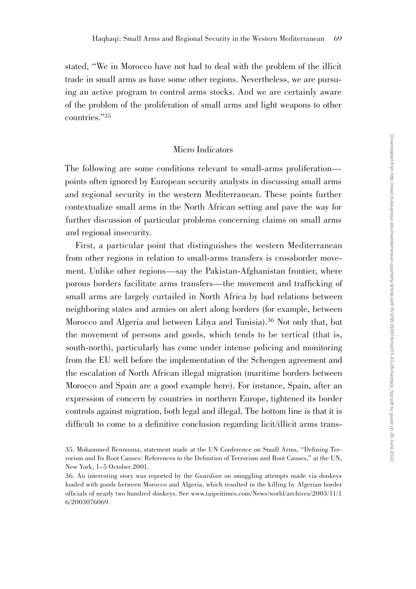stated, "We in Morocco have not had to deal with the problem of the illicit trade in small arms as have some other regions. Nevertheless, we are pursuing an active program to control arms stocks. And we are certainly aware of the problem of the proliferation of small arms and light weapons to other countries."35

# Micro Indicators

The following are some conditions relevant to small-arms proliferation points often ignored by European security analysts in discussing small arms and regional security in the western Mediterranean. These points further contextualize small arms in the North African setting and pave the way for further discussion of particular problems concerning claims on small arms and regional insecurity.

First, a particular point that distinguishes the western Mediterranean from other regions in relation to small-arms transfers is crossborder movement. Unlike other regions—say the Pakistan-Afghanistan frontier, where porous borders facilitate arms transfers—the movement and trafficking of small arms are largely curtailed in North Africa by bad relations between neighboring states and armies on alert along borders (for example, between Morocco and Algeria and between Libya and Tunisia). 36 Not only that, but the movement of persons and goods, which tends to be vertical (that is, south-north), particularly has come under intense policing and monitoring from the EU well before the implementation of the Schengen agreement and the escalation of North African illegal migration (maritime borders between Morocco and Spain are a good example here). For instance, Spain, after an expression of concern by countries in northern Europe, tightened its border controls against migration, both legal and illegal. The bottom line is that it is difficult to come to a definitive conclusion regarding licit/illicit arms trans-

<sup>35.</sup> Mohammed Bennouna, statement made at the UN Conference on Small Arms, "Defining Terrorism and Its Root Causes: References to the Definition of Terrorism and Root Causes," at the UN, New York, 1–5 October 2001.

<sup>36.</sup> An interesting story was reported by the *Guardian* on smuggling attempts made via donkeys loaded with goods between Morocco and Algeria, which resulted in the killing by Algerian border officials of nearly two hundred donkeys. See www.taipeitimes.com/News/world/archives/2003/11/1 6/2003076069.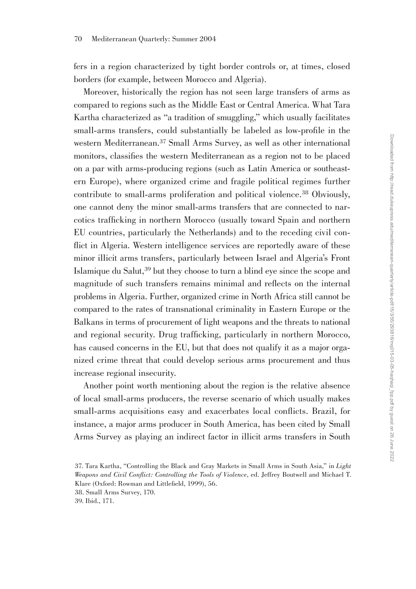fers in a region characterized by tight border controls or, at times, closed borders (for example, between Morocco and Algeria).

Moreover, historically the region has not seen large transfers of arms as compared to regions such as the Middle East or Central America. What Tara Kartha characterized as "a tradition of smuggling," which usually facilitates small-arms transfers, could substantially be labeled as low-profile in the western Mediterranean. 37 Small Arms Survey, as well as other international monitors, classifies the western Mediterranean as a region not to be placed on a par with arms-producing regions (such as Latin America or southeastern Europe), where organized crime and fragile political regimes further contribute to small-arms proliferation and political violence.<sup>38</sup> Obviously, one cannot deny the minor small-arms transfers that are connected to narcotics trafficking in northern Morocco (usually toward Spain and northern EU countries, particularly the Netherlands) and to the receding civil conflict in Algeria. Western intelligence services are reportedly aware of these minor illicit arms transfers, particularly between Israel and Algeria's Front Islamique du Salut,39 but they choose to turn a blind eye since the scope and magnitude of such transfers remains minimal and reflects on the internal problems in Algeria. Further, organized crime in North Africa still cannot be compared to the rates of transnational criminality in Eastern Europe or the Balkans in terms of procurement of light weapons and the threats to national and regional security. Drug trafficking, particularly in northern Morocco, has caused concerns in the EU, but that does not qualify it as a major organized crime threat that could develop serious arms procurement and thus increase regional insecurity.

Another point worth mentioning about the region is the relative absence of local small-arms producers, the reverse scenario of which usually makes small-arms acquisitions easy and exacerbates local conflicts. Brazil, for instance, a major arms producer in South America, has been cited by Small Arms Survey as playing an indirect factor in illicit arms transfers in South

<sup>37.</sup> Tara Kartha, "Controlling the Black and Gray Markets in Small Arms in South Asia," in *Light Weapons and Civil Conflict: Controlling the Tools of Violence*, ed. Jeffrey Boutwell and Michael T. Klare (Oxford: Rowman and Littlefield, 1999), 56.

<sup>38.</sup> Small Arms Survey, 170.

<sup>39.</sup> Ibid., 171.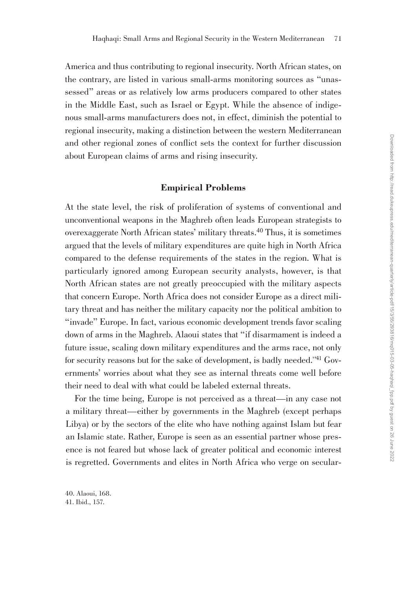America and thus contributing to regional insecurity. North African states, on the contrary, are listed in various small-arms monitoring sources as "unassessed" areas or as relatively low arms producers compared to other states in the Middle East, such as Israel or Egypt. While the absence of indigenous small-arms manufacturers does not, in effect, diminish the potential to regional insecurity, making a distinction between the western Mediterranean and other regional zones of conflict sets the context for further discussion about European claims of arms and rising insecurity.

# **Empirical Problems**

At the state level, the risk of proliferation of systems of conventional and unconventional weapons in the Maghreb often leads European strategists to overexaggerate North African states' military threats. <sup>40</sup> Thus, it is sometimes argued that the levels of military expenditures are quite high in North Africa compared to the defense requirements of the states in the region. What is particularly ignored among European security analysts, however, is that North African states are not greatly preoccupied with the military aspects that concern Europe. North Africa does not consider Europe as a direct military threat and has neither the military capacity nor the political ambition to "invade" Europe. In fact, various economic development trends favor scaling down of arms in the Maghreb. Alaoui states that "if disarmament is indeed a future issue, scaling down military expenditures and the arms race, not only for security reasons but for the sake of development, is badly needed."41 Governments' worries about what they see as internal threats come well before their need to deal with what could be labeled external threats.

For the time being, Europe is not perceived as a threat—in any case not a military threat—either by governments in the Maghreb (except perhaps Libya) or by the sectors of the elite who have nothing against Islam but fear an Islamic state. Rather, Europe is seen as an essential partner whose presence is not feared but whose lack of greater political and economic interest is regretted. Governments and elites in North Africa who verge on secular-

40. Alaoui, 168. 41. Ibid., 157.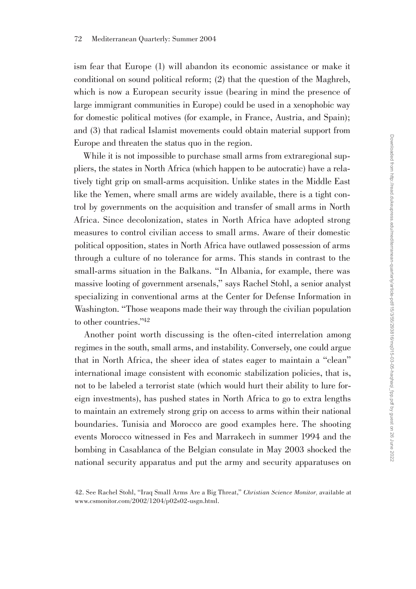ism fear that Europe (1) will abandon its economic assistance or make it conditional on sound political reform; (2) that the question of the Maghreb, which is now a European security issue (bearing in mind the presence of large immigrant communities in Europe) could be used in a xenophobic way for domestic political motives (for example, in France, Austria, and Spain); and (3) that radical Islamist movements could obtain material support from Europe and threaten the status quo in the region.

While it is not impossible to purchase small arms from extraregional suppliers, the states in North Africa (which happen to be autocratic) have a relatively tight grip on small-arms acquisition. Unlike states in the Middle East like the Yemen, where small arms are widely available, there is a tight control by governments on the acquisition and transfer of small arms in North Africa. Since decolonization, states in North Africa have adopted strong measures to control civilian access to small arms. Aware of their domestic political opposition, states in North Africa have outlawed possession of arms through a culture of no tolerance for arms. This stands in contrast to the small-arms situation in the Balkans. "In Albania, for example, there was massive looting of government arsenals," says Rachel Stohl, a senior analyst specializing in conventional arms at the Center for Defense Information in Washington. "Those weapons made their way through the civilian population to other countries."42

Another point worth discussing is the often-cited interrelation among regimes in the south, small arms, and instability. Conversely, one could argue that in North Africa, the sheer idea of states eager to maintain a "clean" international image consistent with economic stabilization policies, that is, not to be labeled a terrorist state (which would hurt their ability to lure foreign investments), has pushed states in North Africa to go to extra lengths to maintain an extremely strong grip on access to arms within their national boundaries. Tunisia and Morocco are good examples here. The shooting events Morocco witnessed in Fes and Marrakech in summer 1994 and the bombing in Casablanca of the Belgian consulate in May 2003 shocked the national security apparatus and put the army and security apparatuses on

<sup>42.</sup> See Rachel Stohl, "Iraq Small Arms Are a Big Threat," *Christian Science Monitor*, available at www.csmonitor.com/2002/1204/p02s02-usgn.html.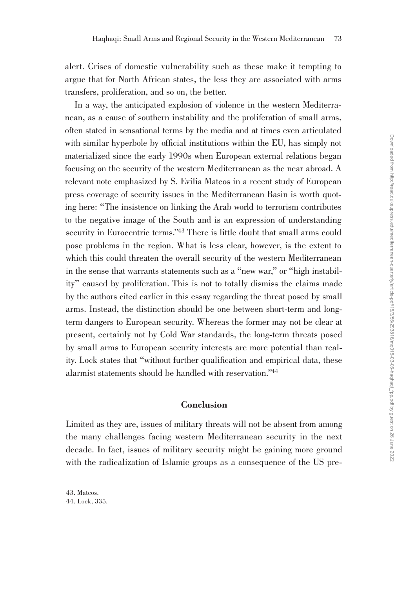alert. Crises of domestic vulnerability such as these make it tempting to argue that for North African states, the less they are associated with arms transfers, proliferation, and so on, the better.

In a way, the anticipated explosion of violence in the western Mediterranean, as a cause of southern instability and the proliferation of small arms, often stated in sensational terms by the media and at times even articulated with similar hyperbole by official institutions within the EU, has simply not materialized since the early 1990s when European external relations began focusing on the security of the western Mediterranean as the near abroad. A relevant note emphasized by S. Evilia Mateos in a recent study of European press coverage of security issues in the Mediterranean Basin is worth quoting here: "The insistence on linking the Arab world to terrorism contributes to the negative image of the South and is an expression of understanding security in Eurocentric terms."<sup>43</sup> There is little doubt that small arms could pose problems in the region. What is less clear, however, is the extent to which this could threaten the overall security of the western Mediterranean in the sense that warrants statements such as a "new war," or "high instability" caused by proliferation. This is not to totally dismiss the claims made by the authors cited earlier in this essay regarding the threat posed by small arms. Instead, the distinction should be one between short-term and longterm dangers to European security. Whereas the former may not be clear at present, certainly not by Cold War standards, the long-term threats posed by small arms to European security interests are more potential than reality. Lock states that "without further qualification and empirical data, these alarmist statements should be handled with reservation."44

# **Conclusion**

Limited as they are, issues of military threats will not be absent from among the many challenges facing western Mediterranean security in the next decade. In fact, issues of military security might be gaining more ground with the radicalization of Islamic groups as a consequence of the US pre-

43. Mateos. 44. Lock, 335.